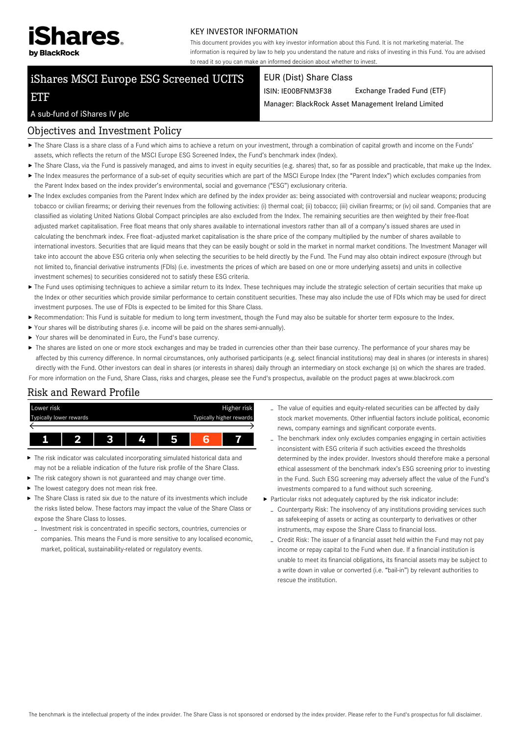

#### KEY INVESTOR INFORMATION

This document provides you with key investor information about this Fund. It is not marketing material. The information is required by law to help you understand the nature and risks of investing in this Fund. You are advised to read it so you can make an informed decision about whether to invest.

# iShares MSCI Europe ESG Screened UCITS

#### EUR (Dist) Share Class

ISIN: IE00BFNM3F38 Exchange Traded Fund (ETF)

Manager: BlackRock Asset Management Ireland Limited

#### A sub-fund of iShares IV plc

ETF

#### Objectives and Investment Policy

- The Share Class is a share class of a Fund which aims to achieve a return on your investment, through a combination of capital growth and income on the Funds' assets, which reflects the return of the MSCI Europe ESG Screened Index, the Fund's benchmark index (Index).
- ▶ The Share Class, via the Fund is passively managed, and aims to invest in equity securities (e.g. shares) that, so far as possible and practicable, that make up the Index.
- ▶ The Index measures the performance of a sub-set of equity securities which are part of the MSCI Europe Index (the "Parent Index") which excludes companies from the Parent Index based on the index provider's environmental, social and governance ("ESG") exclusionary criteria.
- ▶ The Index excludes companies from the Parent Index which are defined by the index provider as: being associated with controversial and nuclear weapons; producing tobacco or civilian firearms; or deriving their revenues from the following activities: (i) thermal coal; (ii) tobacco; (iii) civilian firearms; or (iv) oil sand. Companies that are classified as violating United Nations Global Compact principles are also excluded from the Index. The remaining securities are then weighted by their free-float adjusted market capitalisation. Free float means that only shares available to international investors rather than all of a company's issued shares are used in calculating the benchmark index. Free float–adjusted market capitalisation is the share price of the company multiplied by the number of shares available to international investors. Securities that are liquid means that they can be easily bought or sold in the market in normal market conditions. The Investment Manager will take into account the above ESG criteria only when selecting the securities to be held directly by the Fund. The Fund may also obtain indirect exposure (through but not limited to, financial derivative instruments (FDIs) (i.e. investments the prices of which are based on one or more underlying assets) and units in collective investment schemes) to securities considered not to satisfy these ESG criteria.
- ▶ The Fund uses optimising techniques to achieve a similar return to its Index. These techniques may include the strategic selection of certain securities that make up the Index or other securities which provide similar performance to certain constituent securities. These may also include the use of FDIs which may be used for direct investment purposes. The use of FDIs is expected to be limited for this Share Class.
- Recommendation: This Fund is suitable for medium to long term investment, though the Fund may also be suitable for shorter term exposure to the Index.
- Your shares will be distributing shares (i.e. income will be paid on the shares semi-annually).
- Your shares will be denominated in Euro, the Fund's base currency.
- ▶ The shares are listed on one or more stock exchanges and may be traded in currencies other than their base currency. The performance of your shares may be affected by this currency difference. In normal circumstances, only authorised participants (e.g. select financial institutions) may deal in shares (or interests in shares) directly with the Fund. Other investors can deal in shares (or interests in shares) daily through an intermediary on stock exchange (s) on which the shares are traded. For more information on the Fund, Share Class, risks and charges, please see the Fund's prospectus, available on the product pages at www.blackrock.com

## Risk and Reward Profile



- ь The risk indicator was calculated incorporating simulated historical data and may not be a reliable indication of the future risk profile of the Share Class.
- The risk category shown is not guaranteed and may change over time.
- $\blacktriangleright$  The lowest category does not mean risk free.
- $\blacktriangleright$  The Share Class is rated six due to the nature of its investments which include the risks listed below. These factors may impact the value of the Share Class or expose the Share Class to losses.
- Investment risk is concentrated in specific sectors, countries, currencies or companies. This means the Fund is more sensitive to any localised economic, market, political, sustainability-related or regulatory events.
- The value of equities and equity-related securities can be affected by daily stock market movements. Other influential factors include political, economic news, company earnings and significant corporate events.
- The benchmark index only excludes companies engaging in certain activities inconsistent with ESG criteria if such activities exceed the thresholds determined by the index provider. Investors should therefore make a personal ethical assessment of the benchmark index's ESG screening prior to investing in the Fund. Such ESG screening may adversely affect the value of the Fund's investments compared to a fund without such screening.
- Particular risks not adequately captured by the risk indicator include:
	- Counterparty Risk: The insolvency of any institutions providing services such as safekeeping of assets or acting as counterparty to derivatives or other instruments, may expose the Share Class to financial loss.
	- Credit Risk: The issuer of a financial asset held within the Fund may not pay income or repay capital to the Fund when due. If a financial institution is unable to meet its financial obligations, its financial assets may be subject to a write down in value or converted (i.e. "bail-in") by relevant authorities to rescue the institution.